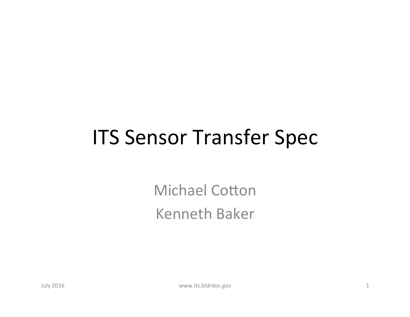## **ITS Sensor Transfer Spec**

**Michael Cotton** Kenneth Baker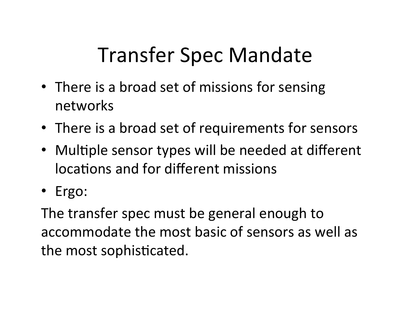# Transfer Spec Mandate

- There is a broad set of missions for sensing networks
- There is a broad set of requirements for sensors
- Multiple sensor types will be needed at different locations and for different missions
- Ergo:

The transfer spec must be general enough to accommodate the most basic of sensors as well as the most sophisticated.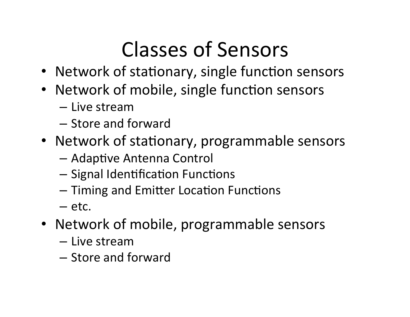# Classes of Sensors

- Network of stationary, single function sensors
- Network of mobile, single function sensors
	- Live stream
	- Store and forward
- Network of stationary, programmable sensors
	- $-$  Adaptive Antenna Control
	- $-$  Signal Identification Functions
	- Timing and Emitter Location Functions
	- etc.
- Network of mobile, programmable sensors
	- Live stream
	- Store and forward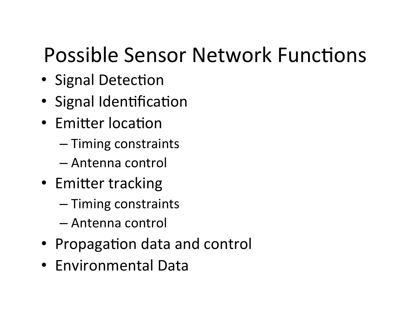# Possible Sensor Network Functions

- Signal Detection
- Signal Identification
- Emitter location
	- Timing constraints
	- Antenna control
- Emitter tracking
	- Timing constraints
	- Antenna control
- Propagation data and control
- Environmental Data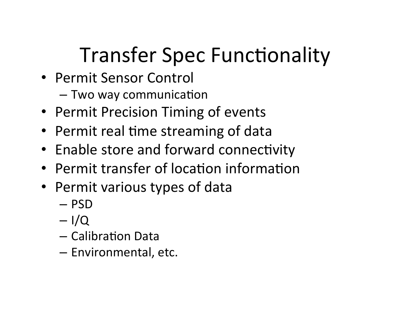# **Transfer Spec Functionality**

- Permit Sensor Control
	- $-$  Two way communication
- Permit Precision Timing of events
- Permit real time streaming of data
- Enable store and forward connectivity
- Permit transfer of location information
- Permit various types of data
	- PSD
	- $I/Q$
	- $-$  Calibration Data
	- $-$  Environmental, etc.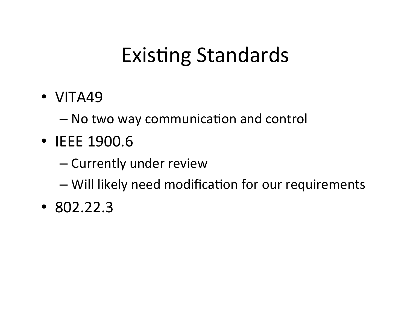# **Existing Standards**

• VITA49 

– No two way communication and control

- IEEE 1900.6
	- Currently under review

 $-$  Will likely need modification for our requirements

• 802.22.3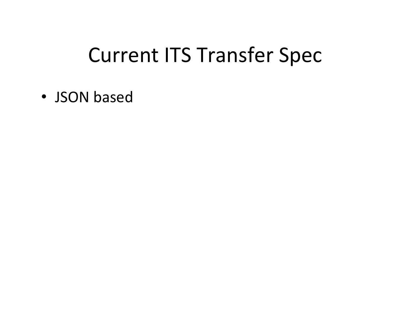## **Current ITS Transfer Spec**

• JSON based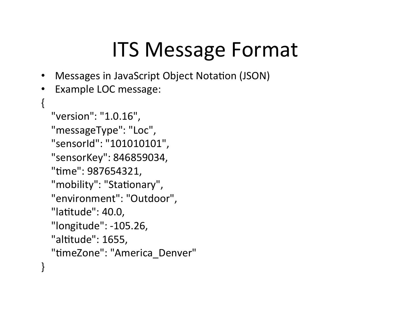## ITS Message Format

- Messages in JavaScript Object Notation (JSON)
- Example LOC message:

```
\{				"version":	"1.0.16",	
  "messageType": "Loc",
  				"sensorId":	"101010101",	
  "sensorKey": 846859034,
  "time": 987654321,
  "mobility": "Stationary",
  				"environment":	"Outdoor",	
  "latitude": 40.0,
  				"longitude":	-105.26,	
  "altitude": 1655,
  "timeZone": "America_Denver"
}
```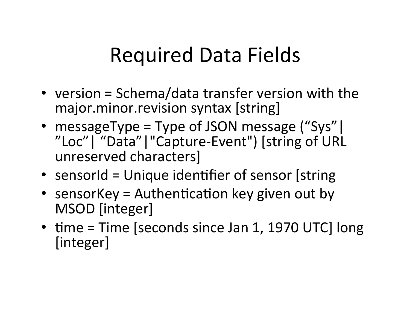## Required Data Fields

- version = Schema/data transfer version with the major.minor.revision syntax [string]
- messageType = Type of JSON message ("Sys") "Loc" | "Data" | "Capture-Event") [string of URL unreserved characters]
- sensorId = Unique identifier of sensor [string
- sensorKey = Authentication key given out by MSOD [integer]
- time =  $Time$  [seconds since Jan 1, 1970 UTC]  $long$ [integer]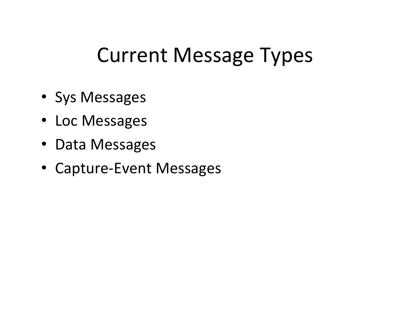## **Current Message Types**

- Sys Messages
- Loc Messages
- Data Messages
- Capture-Event Messages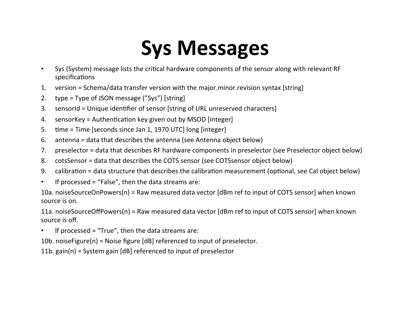# **Sys Messages**

- Sys (System) message lists the critical hardware components of the sensor along with relevant RF specifications
- 1. version = Schema/data transfer version with the major.minor.revision syntax [string]
- 2. type = Type of JSON message ("Sys") [string]
- 3. sensorId = Unique identifier of sensor [string of URL unreserved characters]
- 4. sensorKey = Authentication key given out by MSOD [integer]
- 5.  $time = Time$  [seconds since Jan 1, 1970 UTC] long [integer]
- 6. antenna = data that describes the antenna (see Antenna object below)
- 7. preselector = data that describes RF hardware components in preselector (see Preselector object below)
- 8. cotsSensor = data that describes the COTS sensor (see COTSsensor object below)
- 9. calibration = data structure that describes the calibration measurement (optional, see Cal object below)
- If processed = "False", then the data streams are:

10a. noiseSourceOnPowers(n) = Raw measured data vector  $\delta$ dBm ref to input of COTS sensor] when known source is on.

11a. noiseSourceOffPowers(n) = Raw measured data vector  $\delta$ dBm ref to input of COTS sensor] when known source is off.

• If processed = "True", then the data streams are:

10b. noiseFigure(n) = Noise figure  $[dB]$  referenced to input of preselector.

11b.  $gain(n)$  = System gain  $[dB]$  referenced to input of preselector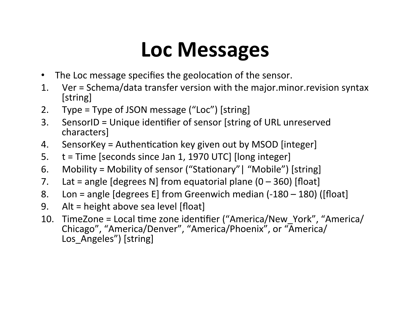# **Loc Messages**

- The Loc message specifies the geolocation of the sensor.
- 1. Ver = Schema/data transfer version with the major.minor.revision syntax [string]
- 2. Type = Type of JSON message  $("Loc")$  [string]
- 3. SensorID = Unique identifier of sensor [string of URL unreserved characters]
- 4. SensorKey = Authentication key given out by MSOD [integer]
- 5.  $t =$  Time [seconds since Jan 1, 1970 UTC] [long integer]
- 6. Mobility = Mobility of sensor ("Stationary" | "Mobile") [string]
- 7. Lat = angle  $[degrees N]$  from equatorial plane  $(0 360)$  [float]
- 8. Lon = angle  $[degrees E]$  from Greenwich median  $(-180 180)$  ([float]
- 9. Alt = height above sea level  $[float]$
- 10. TimeZone = Local time zone identifier ("America/New\_York", "America/ Chicago", "America/Denver", "America/Phoenix", or "America/ Los Angeles") [string]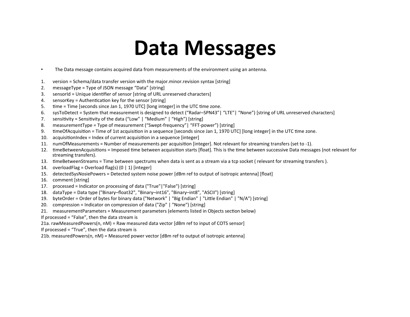#### **Data Messages**

- The Data message contains acquired data from measurements of the environment using an antenna.
- 1. version = Schema/data transfer version with the major.minor.revision syntax [string]
- 2. messageType = Type of JSON message "Data" [string]
- 3. sensorId = Unique identifier of sensor [string of URL unreserved characters]
- 4. sensorKey = Authentication key for the sensor [string]
- 5. time = Time [seconds since Jan 1, 1970 UTC] [long integer] in the UTC time zone.
- 6. sysToDetect = System that measurement is designed to detect ("Radar–SPN43"| "LTE"| "None") [string of URL unreserved characters]
- 7. sensitivity = Sensitivity of the data ("Low"  $\mid$  "Medium"  $\mid$  "High") [string]
- 8. measurementType = Type of measurement ("Swept-frequency"| "FFT-power") [string]
- 9. timeOfAcquisition = Time of 1st acquisition in a sequence [seconds since Jan 1, 1970 UTC] [long integer] in the UTC time zone.
- 10. acquisitionIndex = Index of current acquisition in a sequence [integer]
- 11. numOfMeasurements = Number of measurements per acquisition [integer]. Not relevant for streaming transfers (set to -1).
- 12. timeBetweenAcquisitions = Imposed time between acquisition starts [float]. This is the time between successive Data messages (not relevant for streaming transfers).
- 13. timeBetweenStreams = Time between spectrums when data is sent as a stream via a tcp socket ( relevant for streaming transfers ).
- 14. overloadFlag = Overload flag(s)  $(0 | 1)$  [integer]
- 15. detectedSysNosiePowers = Detected system noise power [dBm ref to output of isotropic antenna] [float]
- 16. comment [string]
- 17. processed = Indicator on processing of data ("True"|"False") [string]
- 18. dataType = Data type ("Binary-float32", "Binary-int16", "Binary-int8", "ASCII") [string]
- 19. byteOrder = Order of bytes for binary data ("Network" | "Big Endian" | "Little Endian" | "N/A") [string]
- 20. compression = Indicator on compression of data ("Zip"  $|$  "None") [string]
- 21. measurementParameters = Measurement parameters (elements listed in Objects section below)
- If processed = "False", then the data stream is

21a. rawMeasuredPowers(n, nM) = Raw measured data vector  $\lceil d \rceil$  of to input of COTS sensor

- If processed = "True", then the data stream is
- 21b. measuredPowers(n, nM) = Measured power vector  $\delta$ dBm ref to output of isotropic antenna]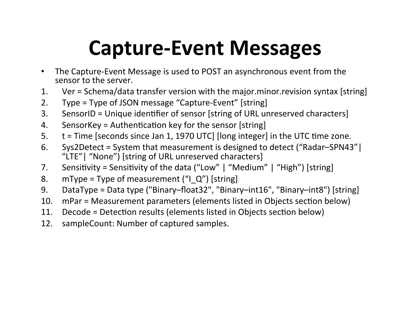# **Capture-Event Messages**

- The Capture-Event Message is used to POST an asynchronous event from the sensor to the server.
- 1. Ver = Schema/data transfer version with the major.minor.revision syntax [string]
- 2. Type = Type of JSON message "Capture-Event"  $[string]$
- 3. SensorID = Unique identifier of sensor [string of URL unreserved characters]
- 4. SensorKey = Authentication key for the sensor [string]
- 5.  $t =$  Time [seconds since Jan 1, 1970 UTC] [long integer] in the UTC time zone.
- 6. Sys2Detect = System that measurement is designed to detect ("Radar–SPN43") "LTE" | "None") [string of URL unreserved characters]
- 7. Sensitivity = Sensitivity of the data ("Low"  $\mid$  "Medium"  $\mid$  "High") [string]
- 8. mType = Type of measurement  $(''1'Q'')$  [string]
- 9. DataType = Data type ("Binary–float32", "Binary–int16", "Binary–int8") [string]
- 10. mPar = Measurement parameters (elements listed in Objects section below)
- 11. Decode = Detection results (elements listed in Objects section below)
- 12. sampleCount: Number of captured samples.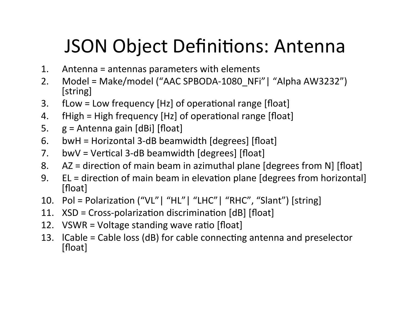## JSON Object Definitions: Antenna

- 1. Antenna = antennas parameters with elements
- 2. Model = Make/model ("AAC SPBODA-1080\_NFi"| "Alpha AW3232") [string]
- 3.  $fLow = Low frequency [Hz] of operational range [float]$
- 4.  $fHigh = High frequency [Hz] of operational range [float]$
- 5.  $g =$  Antenna gain  $[dBi]$  [float]
- 6. bwH = Horizontal 3-dB beamwidth  $[degrees]$  [float]
- 7. bwV = Vertical 3-dB beamwidth  $[degrees]$  [float]
- 8.  $AZ =$  direction of main beam in azimuthal plane [degrees from N] [float]
- 9. EL = direction of main beam in elevation plane [degrees from horizontal] [float]
- 10. Pol = Polarization  $("VL" | "HL" | "LHC" | "RHC", "Slant")$  [string]
- 11.  $XSD = Cross-polarization$  discrimination  $[dB]$  [float]
- 12. VSWR = Voltage standing wave ratio [float]
- 13. ICable = Cable loss (dB) for cable connecting antenna and preselector [float]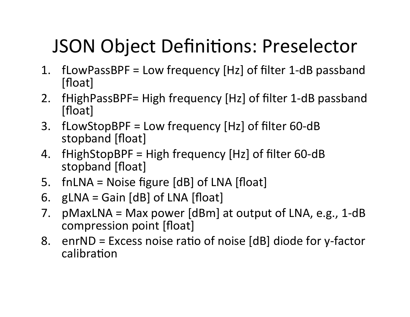## JSON Object Definitions: Preselector

- 1.  $fLowPassBPF = Low frequency [Hz] of filter 1-dB passband$ [float]
- 2. fHighPassBPF= High frequency [Hz] of filter 1-dB passband [float]
- 3. fLowStopBPF = Low frequency  $[Hz]$  of filter 60-dB stopband [float]
- 4. fHighStopBPF = High frequency  $[Hz]$  of filter 60-dB stopband [float]
- 5. fnLNA = Noise figure  $[dB]$  of LNA  $[float]$
- 6.  $gLNA =$  Gain  $[dB]$  of LNA  $[float]$
- 7. pMaxLNA = Max power  $\text{[dBm]}$  at output of LNA, e.g., 1-dB compression point [float]
- 8. enrND = Excess noise ratio of noise  $[dB]$  diode for y-factor calibration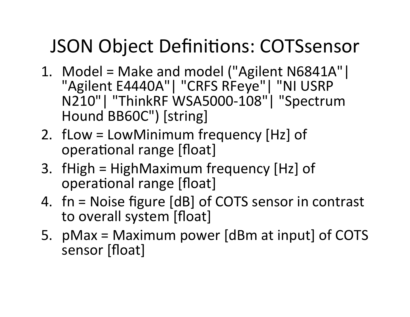### JSON Object Definitions: COTSsensor

- 1. Model = Make and model ("Agilent N6841A"| "Agilent E4440A"| "CRFS RFeye"| "NI USRP N210"| "ThinkRF WSA5000-108"| "Spectrum Hound BB60C") [string]
- 2.  $f$ Low = LowMinimum frequency [Hz] of operational range [float]
- 3. fHigh =  $HighMaximum frequency [Hz] of$ operational range [float]
- 4.  $fn = Noise figure [dB] of COTS sensor in contrast$ to overall system [float]
- 5.  $pMax = Maximum power$  [dBm at input] of COTS sensor [float]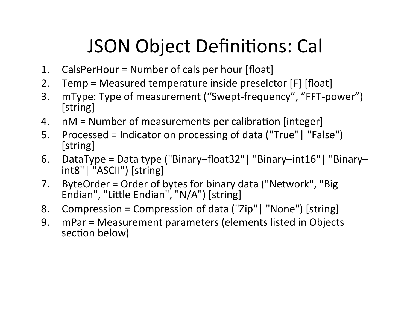## **JSON Object Definitions: Call**

- 1. CalsPerHour = Number of cals per hour  $[float]$
- 2. Temp = Measured temperature inside preselctor  $[F]$  [float]
- 3. mType: Type of measurement ("Swept-frequency", "FFT-power") [string]
- 4.  $nM =$  Number of measurements per calibration [integer]
- 5. Processed = Indicator on processing of data ("True"| "False") [string]
- 6. DataType = Data type ("Binary–float32" | "Binary–int16" | "Binary– int8" | "ASCII") [string]
- 7. ByteOrder = Order of bytes for binary data ("Network", "Big Endian", "Little Endian", "N/A") [string]
- 8. Compression = Compression of data ("Zip"| "None") [string]
- 9. mPar = Measurement parameters (elements listed in Objects section below)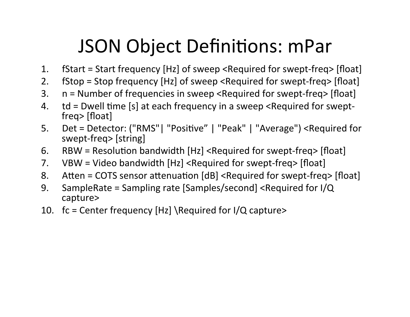## JSON Object Definitions: mPar

- 1. fStart = Start frequency [Hz] of sweep <Required for swept-freq> [float]
- 2. fStop = Stop frequency [Hz] of sweep <Required for swept-freq> [float]
- 3.  $n =$  Number of frequencies in sweep <Required for swept-freq> [float]
- 4.  $td =$  Dwell time [s] at each frequency in a sweep <Required for sweptfreq> [float]
- 5. Det = Detector: ("RMS" | "Positive" | "Peak" | "Average") <Required for swept-freq> [string]
- 6. RBW = Resolution bandwidth  $[Hz]$  <Required for swept-freq>  $[float]$
- 7. VBW = Video bandwidth  $[Hz]$  <Required for swept-freq>  $[float]$
- 8. Atten = COTS sensor attenuation  $[dB]$  <Required for swept-freq>  $[float]$
- 9. SampleRate = Sampling rate [Samples/second] <Required for  $I/Q$ capture>
- 10.  $fc = Center frequency [Hz] \ \Required for I/Q captures$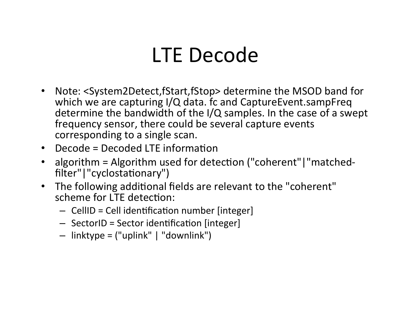### LTE Decode

- Note: <System2Detect,fStart,fStop> determine the MSOD band for which we are capturing I/Q data. fc and CaptureEvent.sampFreq determine the bandwidth of the  $I/Q$  samples. In the case of a swept frequency sensor, there could be several capture events corresponding to a single scan.
- $\bullet$  Decode = Decoded LTE information
- algorithm = Algorithm used for detection ("coherent"|"matchedfilter" | "cyclostationary")
- The following additional fields are relevant to the "coherent" scheme for LTE detection:
	- $-$  CellID = Cell identification number [integer]
	- $-$  SectorID = Sector identification [integer]
	- $-$  linktype = ("uplink" | "downlink")